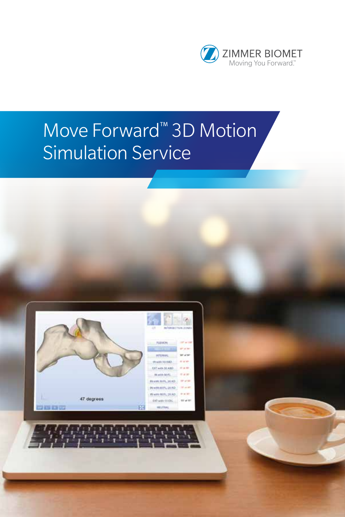

## Move Forward™ 3D Motion Simulation Service

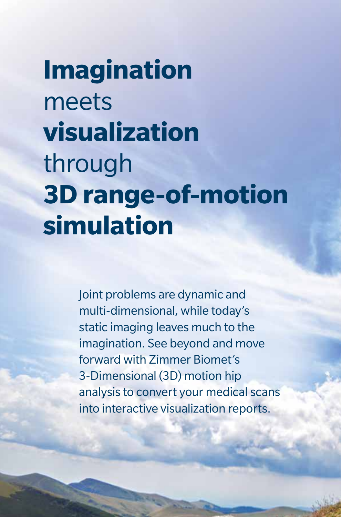# **Imagination** meets **visualization** through **3D range-of-motion simulation**

Joint problems are dynamic and multi-dimensional, while today's static imaging leaves much to the imagination. See beyond and move forward with Zimmer Biomet's 3-Dimensional (3D) motion hip analysis to convert your medical scans into interactive visualization reports.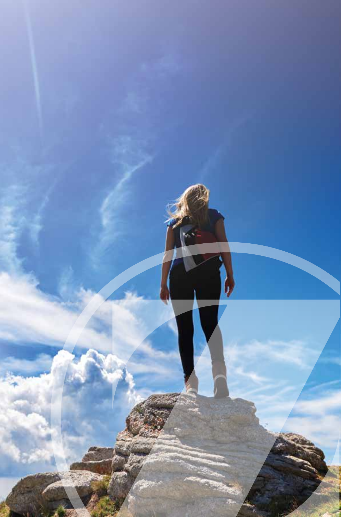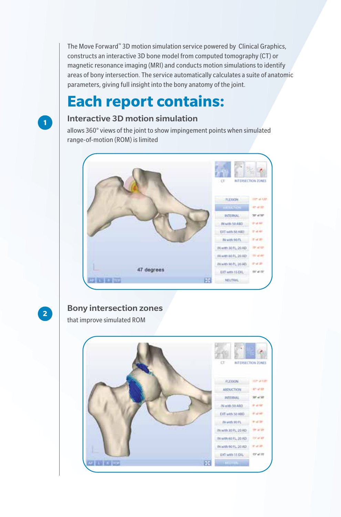The Move Forward™ 3D motion simulation service powered by Clinical Graphics, constructs an interactive 3D bone model from computed tomography (CT) or magnetic resonance imaging (MRI) and conducts motion simulations to identify areas of bony intersection. The service automatically calculates a suite of anatomic parameters, giving full insight into the bony anatomy of the joint.

## **Each report contains:**

#### **<sup>1</sup>** Interactive 3D motion simulation

allows 360° views of the joint to show impingement points when simulated range-of-motion (ROM) is limited



## **2** Bony intersection zones

that improve simulated ROM

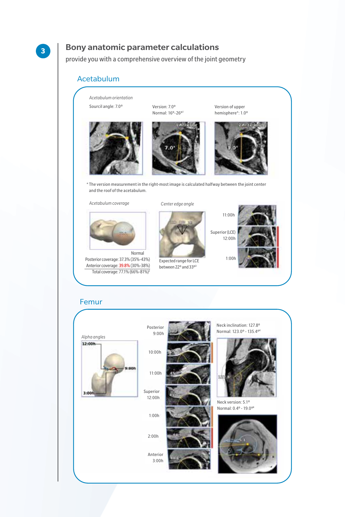

## **3** Bony anatomic parameter calculations

provide you with a comprehensive overview of the joint geometry

#### Acetabulum



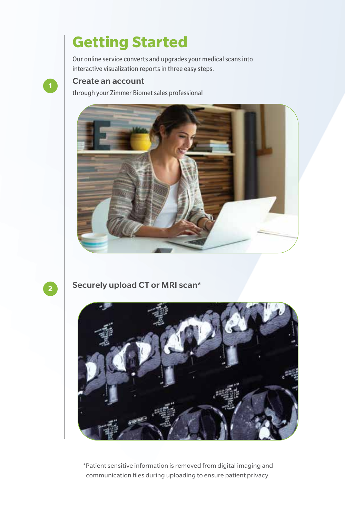## **Getting Started**

Our online service converts and upgrades your medical scans into interactive visualization reports in three easy steps.

## **1** Create an account

through your Zimmer Biomet sales professional



## **2** Securely upload CT or MRI scan\*



\*Patient sensitive information is removed from digital imaging and communication files during uploading to ensure patient privacy.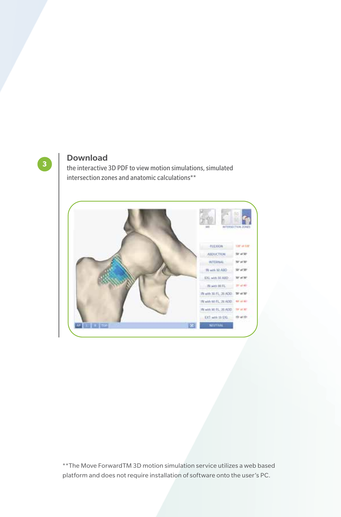#### Download

the interactive 3D PDF to view motion simulations, simulated intersection zones and anatomic calculations\*\*



\*\*The Move ForwardTM 3D motion simulation service utilizes a web based platform and does not require installation of software onto the user's PC.